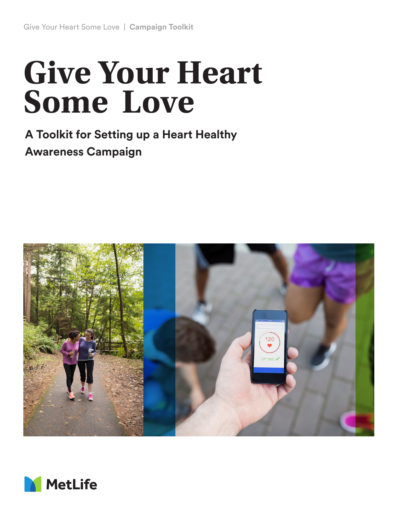# **Give Your Heart Some Love**

**A Toolkit for Setting up a Heart Healthy Awareness Campaign**



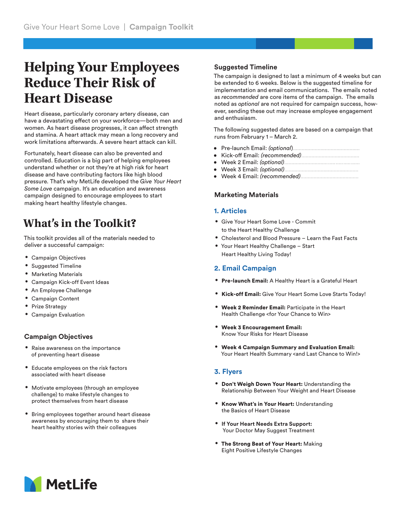## **Helping Your Employees Reduce Their Risk of Heart Disease**

Heart disease, particularly coronary artery disease, can have a devastating effect on your workforce—both men and women. As heart disease progresses, it can affect strength and stamina. A heart attack may mean a long recovery and work limitations afterwards. A severe heart attack can kill.

Fortunately, heart disease can also be prevented and controlled. Education is a big part of helping employees understand whether or not they're at high risk for heart disease and have contributing factors like high blood pressure. That's why MetLife developed the *Give Your Heart Some Love* campaign. It's an education and awareness campaign designed to encourage employees to start making heart healthy lifestyle changes.

## **What's in the Toolkit?**

This toolkit provides all of the materials needed to deliver a successful campaign:

- **•** Campaign Objectives
- **•** Suggested Timeline
- **•** Marketing Materials
- **•** Campaign Kick-off Event Ideas
- **•** An Employee Challenge
- **•** Campaign Content
- **•** Prize Strategy
- **•** Campaign Evaluation

#### **Campaign Objectives**

- **•** Raise awareness on the importance of preventing heart disease
- **•** Educate employees on the risk factors associated with heart disease
- **•** Motivate employees (through an employee challenge) to make lifestyle changes to protect themselves from heart disease
- **•** Bring employees together around heart disease awareness by encouraging them to share their heart healthy stories with their colleagues

#### **Suggested Timeline**

The campaign is designed to last a minimum of 4 weeks but can be extended to 6 weeks. Below is the suggested timeline for implementation and email communications. The emails noted as *recommended* are core items of the campaign. The emails noted as *optional* are not required for campaign success, however, sending these out may increase employee engagement and enthusiasm.

The following suggested dates are based on a campaign that runs from February 1 – March 2.

- Pre-launch Email: *(optional*)..............................................
- Kick-off Email: *(recommended)*........................................
- Week 2 Email: *(optional)*...................................................
- Week 3 Email: *(optional)*...................................................
- Week 4 Email: *(recommended)*........................................

#### **Marketing Materials**

#### **1. Articles**

- **•** Give Your Heart Some Love Commit to the Heart Healthy Challenge
- **•** Cholesterol and Blood Pressure Learn the Fast Facts
- **•** Your Heart Healthy Challenge Start Heart Healthy Living Today!

#### **2. Email Campaign**

- **•** Pre-launch Email: A Healthy Heart is a Grateful Heart
- **•** Kick-off Email: Give Your Heart Some Love Starts Today!
- **•** Week 2 Reminder Email: Participate in the Heart Health Challenge <for Your Chance to Win>
- **•** Week 3 Encouragement Email: Know Your Risks for Heart Disease
- **•** Week 4 Campaign Summary and Evaluation Email: Your Heart Health Summary <and Last Chance to Win!>

#### **3. Flyers**

- **•** Don't Weigh Down Your Heart: Understanding the Relationship Between Your Weight and Heart Disease
- **•** Know What's in Your Heart: Understanding the Basics of Heart Disease
- **• If Your Heart Needs Extra Support:** Your Doctor May Suggest Treatment
- **•** The Strong Beat of Your Heart: Making Eight Positive Lifestyle Changes

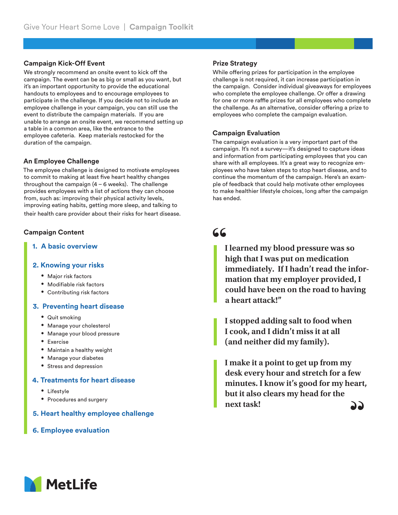#### **Campaign Kick-Off Event**

We strongly recommend an onsite event to kick off the campaign. The event can be as big or small as you want, but it's an important opportunity to provide the educational handouts to employees and to encourage employees to participate in the challenge. If you decide not to include an employee challenge in your campaign, you can still use the event to distribute the campaign materials. If you are unable to arrange an onsite event, we recommend setting up a table in a common area, like the entrance to the employee cafeteria. Keep materials restocked for the duration of the campaign.

#### **An Employee Challenge**

The employee challenge is designed to motivate employees to commit to making at least five heart healthy changes throughout the campaign  $(4 - 6$  weeks). The challenge provides employees with a list of actions they can choose from, such as: improving their physical activity levels, improving eating habits, getting more sleep, and talking to their health care provider about their risks for heart disease.

#### **Campaign Content**

**1. A basic overview** 

#### **2. Knowing your risks**

- **•** Major risk factors
- **•** Modifiable risk factors
- **•** Contributing risk factors

#### **3. Preventing heart disease**

- **•** Quit smoking
- **•** Manage your cholesterol
- **•** Manage your blood pressure
- **•** Exercise
- **•** Maintain a healthy weight
- **•** Manage your diabetes
- **•** Stress and depression

#### **4. Treatments for heart disease**

- **•** Lifestyle
- **•** Procedures and surgery
- **5. Heart healthy employee challenge**
- **6. Employee evaluation**

#### **Prize Strategy**

While offering prizes for participation in the employee challenge is not required, it can increase participation in the campaign. Consider individual giveaways for employees who complete the employee challenge. Or offer a drawing for one or more raffle prizes for all employees who complete the challenge. As an alternative, consider offering a prize to employees who complete the campaign evaluation.

#### **Campaign Evaluation**

The campaign evaluation is a very important part of the campaign. It's not a survey—it's designed to capture ideas and information from participating employees that you can share with all employees. It's a great way to recognize employees who have taken steps to stop heart disease, and to continue the momentum of the campaign. Here's an example of feedback that could help motivate other employees to make healthier lifestyle choices, long after the campaign has ended.

### 66

**I learned my blood pressure was so high that I was put on medication immediately. If I hadn't read the information that my employer provided, I could have been on the road to having a heart attack!"**

**I stopped adding salt to food when I cook, and I didn't miss it at all (and neither did my family).**

**I make it a point to get up from my desk every hour and stretch for a few minutes. I know it's good for my heart, but it also clears my head for the next task!**